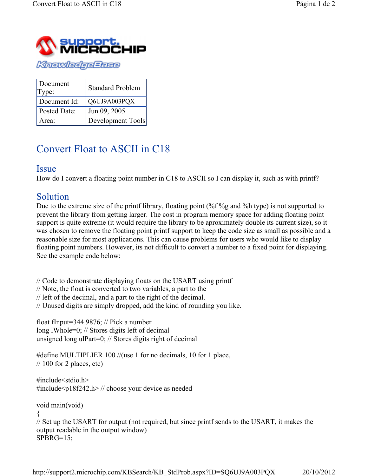

| Document<br>Type: | <b>Standard Problem</b> |
|-------------------|-------------------------|
| Document Id:      | Q6UJ9A003PQX            |
| Posted Date:      | Jun 09, 2005            |
| Area:             | Development Tools       |

## Convert Float to ASCII in C18

## **Issue**

How do I convert a floating point number in C18 to ASCII so I can display it, such as with printf?

## Solution

Due to the extreme size of the printf library, floating point (%f%g and %h type) is not supported to prevent the library from getting larger. The cost in program memory space for adding floating point support is quite extreme (it would require the library to be aproximately double its current size), so it was chosen to remove the floating point printf support to keep the code size as small as possible and a reasonable size for most applications. This can cause problems for users who would like to display floating point numbers. However, its not difficult to convert a number to a fixed point for displaying. See the example code below:

// Code to demonstrate displaying floats on the USART using printf // Note, the float is converted to two variables, a part to the // left of the decimal, and a part to the right of the decimal. // Unused digits are simply dropped, add the kind of rounding you like.

float fInput=344.9876; // Pick a number long lWhole=0; // Stores digits left of decimal unsigned long ulPart=0; // Stores digits right of decimal

#define MULTIPLIER 100 //(use 1 for no decimals, 10 for 1 place,  $\frac{1}{100}$  for 2 places, etc)

#include<stdio.h> #include<p18f242.h> // choose your device as needed

void main(void)

{

// Set up the USART for output (not required, but since printf sends to the USART, it makes the output readable in the output window) SPBRG=15;